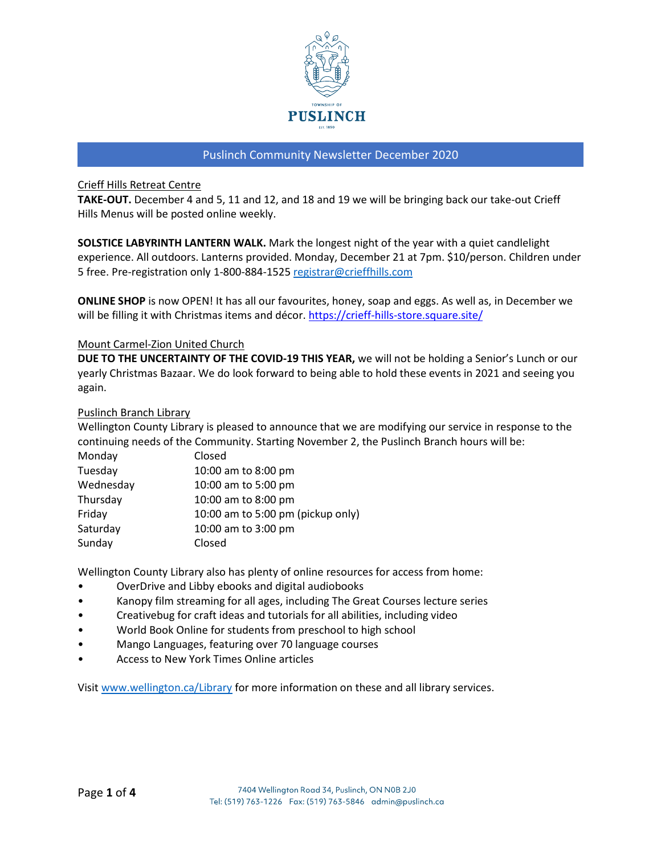

## Crieff Hills Retreat Centre

**TAKE-OUT.** December 4 and 5, 11 and 12, and 18 and 19 we will be bringing back our take-out Crieff Hills Menus will be posted online weekly.

**SOLSTICE LABYRINTH LANTERN WALK.** Mark the longest night of the year with a quiet candlelight experience. All outdoors. Lanterns provided. Monday, December 21 at 7pm. \$10/person. Children under 5 free. Pre-registration only 1-800-884-152[5 registrar@crieffhills.com](mailto:registrar@crieffhills.com)

**ONLINE SHOP** is now OPEN! It has all our favourites, honey, soap and eggs. As well as, in December we will be filling it with Christmas items and décor.<https://crieff-hills-store.square.site/>

### Mount Carmel-Zion United Church

**DUE TO THE UNCERTAINTY OF THE COVID-19 THIS YEAR,** we will not be holding a Senior's Lunch or our yearly Christmas Bazaar. We do look forward to being able to hold these events in 2021 and seeing you again.

### Puslinch Branch Library

Wellington County Library is pleased to announce that we are modifying our service in response to the continuing needs of the Community. Starting November 2, the Puslinch Branch hours will be:

| Monday    | Closed                            |
|-----------|-----------------------------------|
| Tuesday   | 10:00 am to 8:00 pm               |
| Wednesday | 10:00 am to 5:00 pm               |
| Thursday  | 10:00 am to 8:00 pm               |
| Friday    | 10:00 am to 5:00 pm (pickup only) |
| Saturday  | 10:00 am to 3:00 pm               |
| Sunday    | Closed                            |

Wellington County Library also has plenty of online resources for access from home:

- OverDrive and Libby ebooks and digital audiobooks
- Kanopy film streaming for all ages, including The Great Courses lecture series
- Creativebug for craft ideas and tutorials for all abilities, including video
- World Book Online for students from preschool to high school
- Mango Languages, featuring over 70 language courses
- Access to New York Times Online articles

Visit [www.wellington.ca/Library](http://www.wellington.ca/Library) for more information on these and all library services.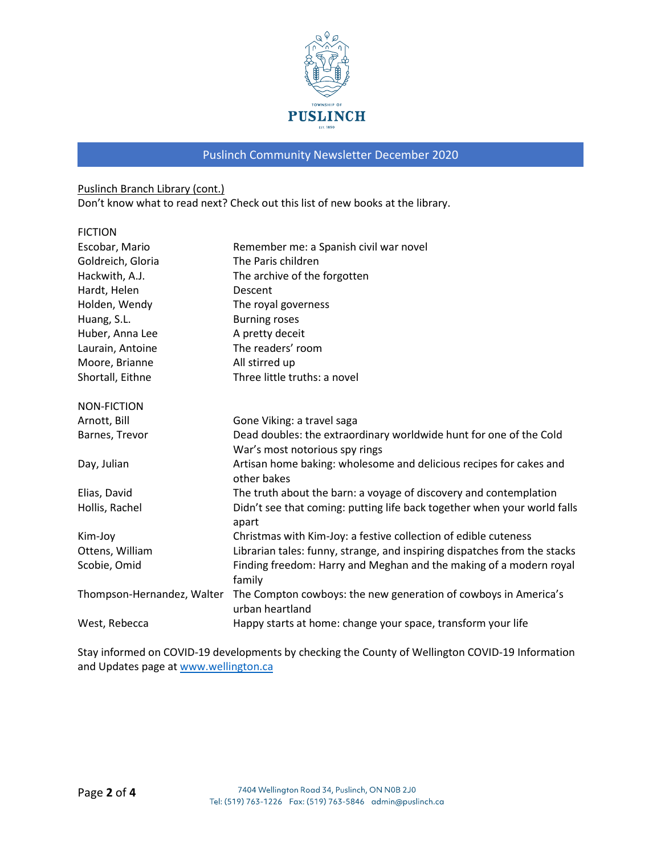

# Puslinch Branch Library (cont.)

Don't know what to read next? Check out this list of new books at the library.

| <b>FICTION</b>             |                                                                                    |
|----------------------------|------------------------------------------------------------------------------------|
| Escobar, Mario             | Remember me: a Spanish civil war novel                                             |
| Goldreich, Gloria          | The Paris children                                                                 |
| Hackwith, A.J.             | The archive of the forgotten                                                       |
| Hardt, Helen               | Descent                                                                            |
| Holden, Wendy              | The royal governess                                                                |
| Huang, S.L.                | <b>Burning roses</b>                                                               |
| Huber, Anna Lee            | A pretty deceit                                                                    |
| Laurain, Antoine           | The readers' room                                                                  |
| Moore, Brianne             | All stirred up                                                                     |
| Shortall, Eithne           | Three little truths: a novel                                                       |
| NON-FICTION                |                                                                                    |
| Arnott, Bill               | Gone Viking: a travel saga                                                         |
| Barnes, Trevor             | Dead doubles: the extraordinary worldwide hunt for one of the Cold                 |
|                            | War's most notorious spy rings                                                     |
| Day, Julian                | Artisan home baking: wholesome and delicious recipes for cakes and<br>other bakes  |
| Elias, David               | The truth about the barn: a voyage of discovery and contemplation                  |
| Hollis, Rachel             | Didn't see that coming: putting life back together when your world falls<br>apart  |
| Kim-Joy                    | Christmas with Kim-Joy: a festive collection of edible cuteness                    |
| Ottens, William            | Librarian tales: funny, strange, and inspiring dispatches from the stacks          |
| Scobie, Omid               | Finding freedom: Harry and Meghan and the making of a modern royal<br>family       |
| Thompson-Hernandez, Walter | The Compton cowboys: the new generation of cowboys in America's<br>urban heartland |
| West, Rebecca              | Happy starts at home: change your space, transform your life                       |

Stay informed on COVID-19 developments by checking the County of Wellington COVID-19 Information and Updates page at [www.wellington.ca](http://www.wellington.ca/)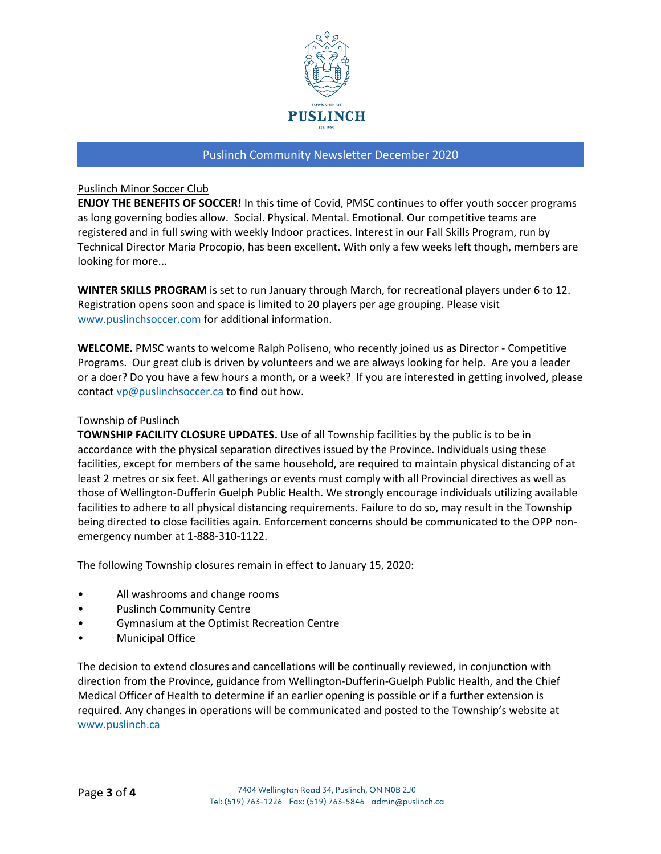

### Puslinch Minor Soccer Club

**ENJOY THE BENEFITS OF SOCCER!** In this time of Covid, PMSC continues to offer youth soccer programs as long governing bodies allow. Social. Physical. Mental. Emotional. Our competitive teams are registered and in full swing with weekly Indoor practices. Interest in our Fall Skills Program, run by Technical Director Maria Procopio, has been excellent. With only a few weeks left though, members are looking for more...

**WINTER SKILLS PROGRAM** is set to run January through March, for recreational players under 6 to 12. Registration opens soon and space is limited to 20 players per age grouping. Please visit [www.puslinchsoccer.com](http://www.puslinchsoccer.com/) for additional information.

**WELCOME.** PMSC wants to welcome Ralph Poliseno, who recently joined us as Director - Competitive Programs. Our great club is driven by volunteers and we are always looking for help. Are you a leader or a doer? Do you have a few hours a month, or a week? If you are interested in getting involved, please contact [vp@puslinchsoccer.ca](mailto:vp@puslinchsoccer.ca) to find out how.

### Township of Puslinch

**TOWNSHIP FACILITY CLOSURE UPDATES.** Use of all Township facilities by the public is to be in accordance with the physical separation directives issued by the Province. Individuals using these facilities, except for members of the same household, are required to maintain physical distancing of at least 2 metres or six feet. All gatherings or events must comply with all Provincial directives as well as those of Wellington-Dufferin Guelph Public Health. We strongly encourage individuals utilizing available facilities to adhere to all physical distancing requirements. Failure to do so, may result in the Township being directed to close facilities again. Enforcement concerns should be communicated to the OPP nonemergency number at 1-888-310-1122.

The following Township closures remain in effect to January 15, 2020:

- All washrooms and change rooms
- Puslinch Community Centre
- Gymnasium at the Optimist Recreation Centre
- Municipal Office

The decision to extend closures and cancellations will be continually reviewed, in conjunction with direction from the Province, guidance from Wellington-Dufferin-Guelph Public Health, and the Chief Medical Officer of Health to determine if an earlier opening is possible or if a further extension is required. Any changes in operations will be communicated and posted to the Township's website at [www.puslinch.ca](http://www.puslinch.ca/)